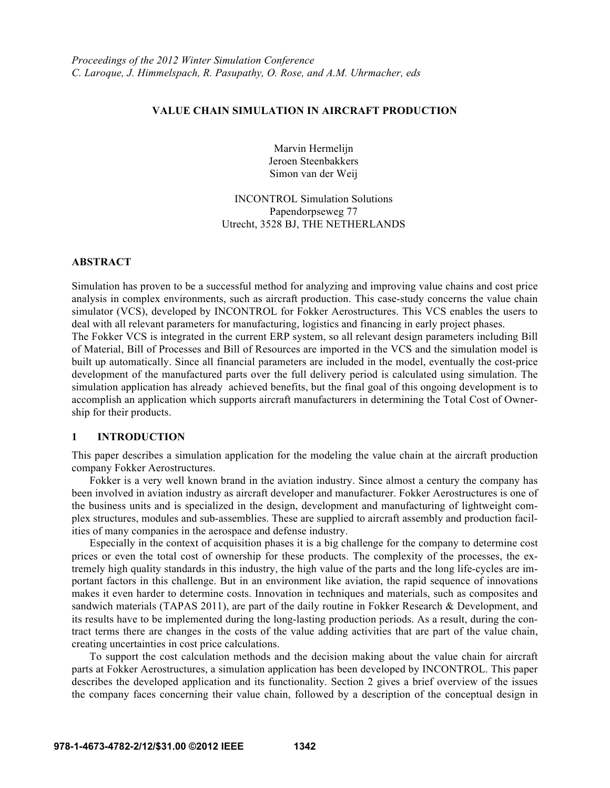### **VALUE CHAIN SIMULATION IN AIRCRAFT PRODUCTION**

Marvin Hermelijn Jeroen Steenbakkers Simon van der Weij

INCONTROL Simulation Solutions Papendorpseweg 77 Utrecht, 3528 BJ, THE NETHERLANDS

#### **ABSTRACT**

Simulation has proven to be a successful method for analyzing and improving value chains and cost price analysis in complex environments, such as aircraft production. This case-study concerns the value chain simulator (VCS), developed by INCONTROL for Fokker Aerostructures. This VCS enables the users to deal with all relevant parameters for manufacturing, logistics and financing in early project phases.

The Fokker VCS is integrated in the current ERP system, so all relevant design parameters including Bill of Material, Bill of Processes and Bill of Resources are imported in the VCS and the simulation model is built up automatically. Since all financial parameters are included in the model, eventually the cost-price development of the manufactured parts over the full delivery period is calculated using simulation. The simulation application has already achieved benefits, but the final goal of this ongoing development is to accomplish an application which supports aircraft manufacturers in determining the Total Cost of Ownership for their products.

#### **1 INTRODUCTION**

This paper describes a simulation application for the modeling the value chain at the aircraft production company Fokker Aerostructures.

 Fokker is a very well known brand in the aviation industry. Since almost a century the company has been involved in aviation industry as aircraft developer and manufacturer. Fokker Aerostructures is one of the business units and is specialized in the design, development and manufacturing of lightweight complex structures, modules and sub-assemblies. These are supplied to aircraft assembly and production facilities of many companies in the aerospace and defense industry.

 Especially in the context of acquisition phases it is a big challenge for the company to determine cost prices or even the total cost of ownership for these products. The complexity of the processes, the extremely high quality standards in this industry, the high value of the parts and the long life-cycles are important factors in this challenge. But in an environment like aviation, the rapid sequence of innovations makes it even harder to determine costs. Innovation in techniques and materials, such as composites and sandwich materials (TAPAS 2011), are part of the daily routine in Fokker Research & Development, and its results have to be implemented during the long-lasting production periods. As a result, during the contract terms there are changes in the costs of the value adding activities that are part of the value chain, creating uncertainties in cost price calculations.

 To support the cost calculation methods and the decision making about the value chain for aircraft parts at Fokker Aerostructures, a simulation application has been developed by INCONTROL. This paper describes the developed application and its functionality. Section 2 gives a brief overview of the issues the company faces concerning their value chain, followed by a description of the conceptual design in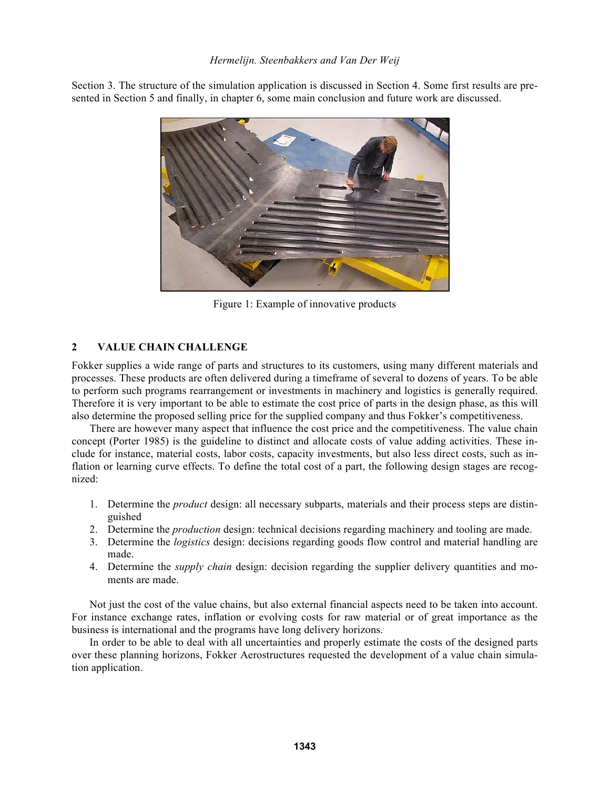# *Hermelijn. Steenbakkers and Van Der Weij*

Section 3. The structure of the simulation application is discussed in Section 4. Some first results are presented in Section 5 and finally, in chapter 6, some main conclusion and future work are discussed.



Figure 1: Example of innovative products

# **2 VALUE CHAIN CHALLENGE**

Fokker supplies a wide range of parts and structures to its customers, using many different materials and processes. These products are often delivered during a timeframe of several to dozens of years. To be able to perform such programs rearrangement or investments in machinery and logistics is generally required. Therefore it is very important to be able to estimate the cost price of parts in the design phase, as this will also determine the proposed selling price for the supplied company and thus Fokker's competitiveness.

 There are however many aspect that influence the cost price and the competitiveness. The value chain concept (Porter 1985) is the guideline to distinct and allocate costs of value adding activities. These include for instance, material costs, labor costs, capacity investments, but also less direct costs, such as inflation or learning curve effects. To define the total cost of a part, the following design stages are recognized:

- 1. Determine the *product* design: all necessary subparts, materials and their process steps are distinguished
- 2. Determine the *production* design: technical decisions regarding machinery and tooling are made.
- 3. Determine the *logistics* design: decisions regarding goods flow control and material handling are made.
- 4. Determine the *supply chain* design: decision regarding the supplier delivery quantities and moments are made.

 Not just the cost of the value chains, but also external financial aspects need to be taken into account. For instance exchange rates, inflation or evolving costs for raw material or of great importance as the business is international and the programs have long delivery horizons.

 In order to be able to deal with all uncertainties and properly estimate the costs of the designed parts over these planning horizons, Fokker Aerostructures requested the development of a value chain simulation application.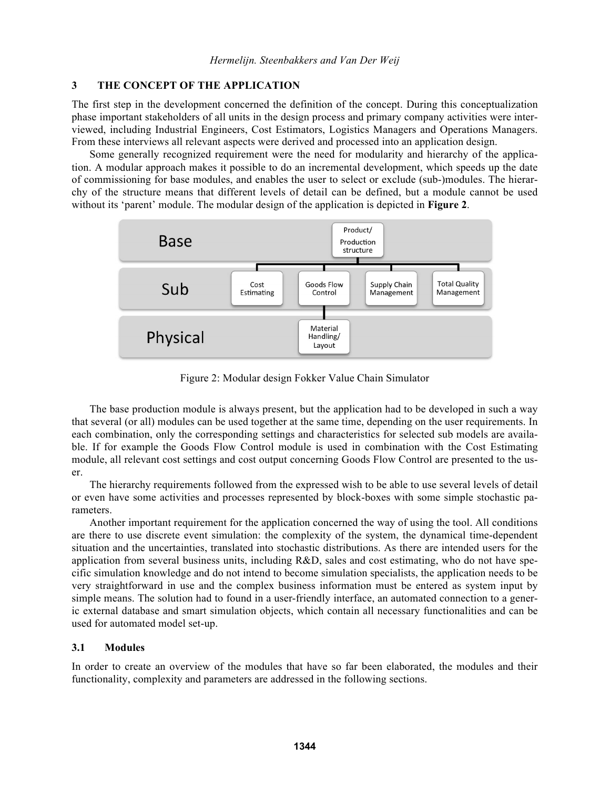## **3 THE CONCEPT OF THE APPLICATION**

The first step in the development concerned the definition of the concept. During this conceptualization phase important stakeholders of all units in the design process and primary company activities were interviewed, including Industrial Engineers, Cost Estimators, Logistics Managers and Operations Managers. From these interviews all relevant aspects were derived and processed into an application design.

 Some generally recognized requirement were the need for modularity and hierarchy of the application. A modular approach makes it possible to do an incremental development, which speeds up the date of commissioning for base modules, and enables the user to select or exclude (sub-)modules. The hierarchy of the structure means that different levels of detail can be defined, but a module cannot be used without its 'parent' module. The modular design of the application is depicted in **Figure 2**.



Figure 2: Modular design Fokker Value Chain Simulator

 The base production module is always present, but the application had to be developed in such a way that several (or all) modules can be used together at the same time, depending on the user requirements. In each combination, only the corresponding settings and characteristics for selected sub models are available. If for example the Goods Flow Control module is used in combination with the Cost Estimating module, all relevant cost settings and cost output concerning Goods Flow Control are presented to the user.

 The hierarchy requirements followed from the expressed wish to be able to use several levels of detail or even have some activities and processes represented by block-boxes with some simple stochastic parameters.

 Another important requirement for the application concerned the way of using the tool. All conditions are there to use discrete event simulation: the complexity of the system, the dynamical time-dependent situation and the uncertainties, translated into stochastic distributions. As there are intended users for the application from several business units, including R&D, sales and cost estimating, who do not have specific simulation knowledge and do not intend to become simulation specialists, the application needs to be very straightforward in use and the complex business information must be entered as system input by simple means. The solution had to found in a user-friendly interface, an automated connection to a generic external database and smart simulation objects, which contain all necessary functionalities and can be used for automated model set-up.

### **3.1 Modules**

In order to create an overview of the modules that have so far been elaborated, the modules and their functionality, complexity and parameters are addressed in the following sections.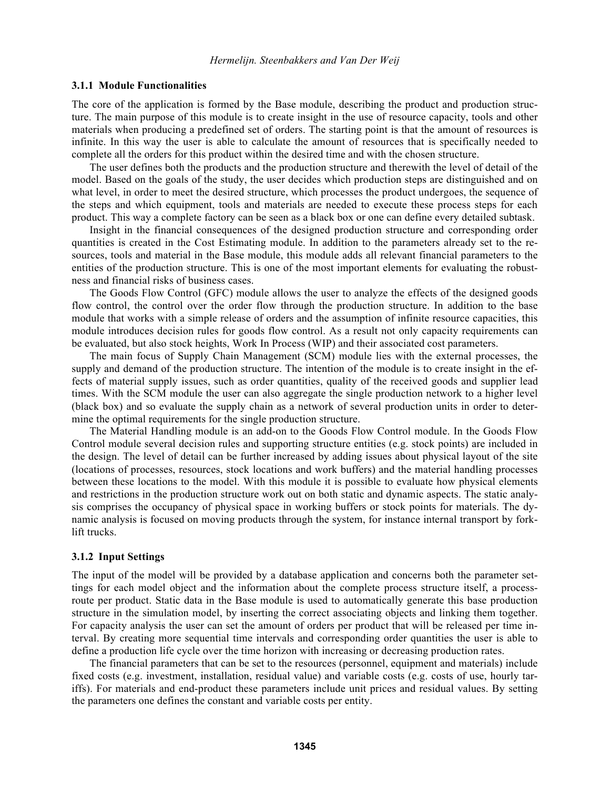#### **3.1.1 Module Functionalities**

The core of the application is formed by the Base module, describing the product and production structure. The main purpose of this module is to create insight in the use of resource capacity, tools and other materials when producing a predefined set of orders. The starting point is that the amount of resources is infinite. In this way the user is able to calculate the amount of resources that is specifically needed to complete all the orders for this product within the desired time and with the chosen structure.

 The user defines both the products and the production structure and therewith the level of detail of the model. Based on the goals of the study, the user decides which production steps are distinguished and on what level, in order to meet the desired structure, which processes the product undergoes, the sequence of the steps and which equipment, tools and materials are needed to execute these process steps for each product. This way a complete factory can be seen as a black box or one can define every detailed subtask.

 Insight in the financial consequences of the designed production structure and corresponding order quantities is created in the Cost Estimating module. In addition to the parameters already set to the resources, tools and material in the Base module, this module adds all relevant financial parameters to the entities of the production structure. This is one of the most important elements for evaluating the robustness and financial risks of business cases.

 The Goods Flow Control (GFC) module allows the user to analyze the effects of the designed goods flow control, the control over the order flow through the production structure. In addition to the base module that works with a simple release of orders and the assumption of infinite resource capacities, this module introduces decision rules for goods flow control. As a result not only capacity requirements can be evaluated, but also stock heights, Work In Process (WIP) and their associated cost parameters.

 The main focus of Supply Chain Management (SCM) module lies with the external processes, the supply and demand of the production structure. The intention of the module is to create insight in the effects of material supply issues, such as order quantities, quality of the received goods and supplier lead times. With the SCM module the user can also aggregate the single production network to a higher level (black box) and so evaluate the supply chain as a network of several production units in order to determine the optimal requirements for the single production structure.

 The Material Handling module is an add-on to the Goods Flow Control module. In the Goods Flow Control module several decision rules and supporting structure entities (e.g. stock points) are included in the design. The level of detail can be further increased by adding issues about physical layout of the site (locations of processes, resources, stock locations and work buffers) and the material handling processes between these locations to the model. With this module it is possible to evaluate how physical elements and restrictions in the production structure work out on both static and dynamic aspects. The static analysis comprises the occupancy of physical space in working buffers or stock points for materials. The dynamic analysis is focused on moving products through the system, for instance internal transport by forklift trucks.

#### **3.1.2 Input Settings**

The input of the model will be provided by a database application and concerns both the parameter settings for each model object and the information about the complete process structure itself, a processroute per product. Static data in the Base module is used to automatically generate this base production structure in the simulation model, by inserting the correct associating objects and linking them together. For capacity analysis the user can set the amount of orders per product that will be released per time interval. By creating more sequential time intervals and corresponding order quantities the user is able to define a production life cycle over the time horizon with increasing or decreasing production rates.

 The financial parameters that can be set to the resources (personnel, equipment and materials) include fixed costs (e.g. investment, installation, residual value) and variable costs (e.g. costs of use, hourly tariffs). For materials and end-product these parameters include unit prices and residual values. By setting the parameters one defines the constant and variable costs per entity.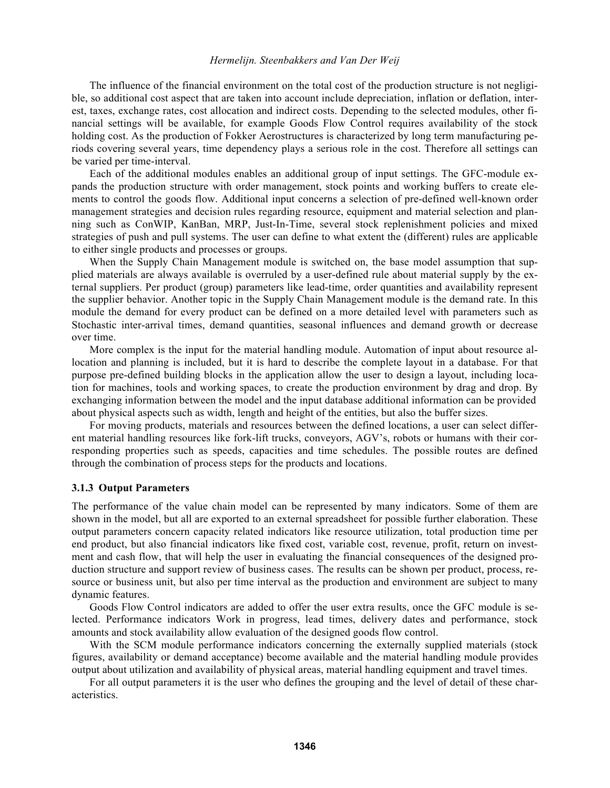#### *Hermelijn. Steenbakkers and Van Der Weij*

 The influence of the financial environment on the total cost of the production structure is not negligible, so additional cost aspect that are taken into account include depreciation, inflation or deflation, interest, taxes, exchange rates, cost allocation and indirect costs. Depending to the selected modules, other financial settings will be available, for example Goods Flow Control requires availability of the stock holding cost. As the production of Fokker Aerostructures is characterized by long term manufacturing periods covering several years, time dependency plays a serious role in the cost. Therefore all settings can be varied per time-interval.

 Each of the additional modules enables an additional group of input settings. The GFC-module expands the production structure with order management, stock points and working buffers to create elements to control the goods flow. Additional input concerns a selection of pre-defined well-known order management strategies and decision rules regarding resource, equipment and material selection and planning such as ConWIP, KanBan, MRP, Just-In-Time, several stock replenishment policies and mixed strategies of push and pull systems. The user can define to what extent the (different) rules are applicable to either single products and processes or groups.

 When the Supply Chain Management module is switched on, the base model assumption that supplied materials are always available is overruled by a user-defined rule about material supply by the external suppliers. Per product (group) parameters like lead-time, order quantities and availability represent the supplier behavior. Another topic in the Supply Chain Management module is the demand rate. In this module the demand for every product can be defined on a more detailed level with parameters such as Stochastic inter-arrival times, demand quantities, seasonal influences and demand growth or decrease over time.

 More complex is the input for the material handling module. Automation of input about resource allocation and planning is included, but it is hard to describe the complete layout in a database. For that purpose pre-defined building blocks in the application allow the user to design a layout, including location for machines, tools and working spaces, to create the production environment by drag and drop. By exchanging information between the model and the input database additional information can be provided about physical aspects such as width, length and height of the entities, but also the buffer sizes.

 For moving products, materials and resources between the defined locations, a user can select different material handling resources like fork-lift trucks, conveyors, AGV's, robots or humans with their corresponding properties such as speeds, capacities and time schedules. The possible routes are defined through the combination of process steps for the products and locations.

#### **3.1.3 Output Parameters**

The performance of the value chain model can be represented by many indicators. Some of them are shown in the model, but all are exported to an external spreadsheet for possible further elaboration. These output parameters concern capacity related indicators like resource utilization, total production time per end product, but also financial indicators like fixed cost, variable cost, revenue, profit, return on investment and cash flow, that will help the user in evaluating the financial consequences of the designed production structure and support review of business cases. The results can be shown per product, process, resource or business unit, but also per time interval as the production and environment are subject to many dynamic features.

 Goods Flow Control indicators are added to offer the user extra results, once the GFC module is selected. Performance indicators Work in progress, lead times, delivery dates and performance, stock amounts and stock availability allow evaluation of the designed goods flow control.

With the SCM module performance indicators concerning the externally supplied materials (stock figures, availability or demand acceptance) become available and the material handling module provides output about utilization and availability of physical areas, material handling equipment and travel times.

 For all output parameters it is the user who defines the grouping and the level of detail of these characteristics.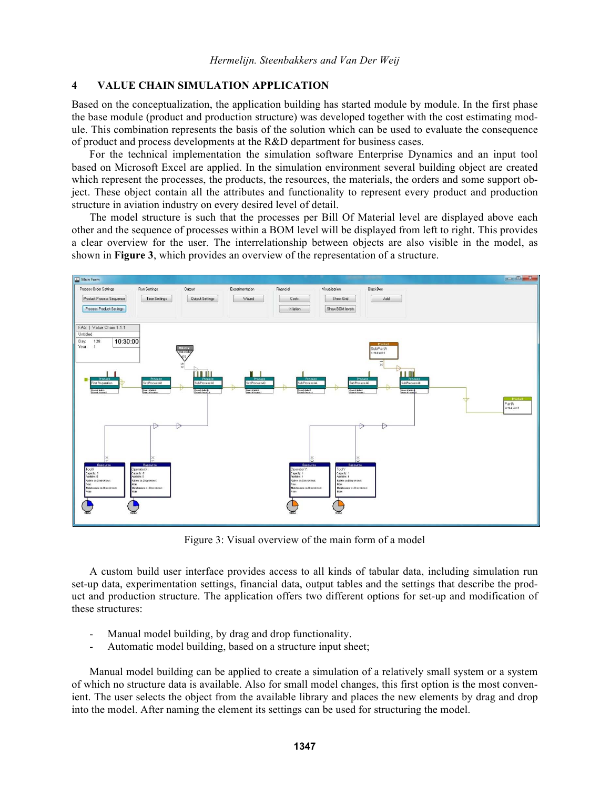## **4 VALUE CHAIN SIMULATION APPLICATION**

Based on the conceptualization, the application building has started module by module. In the first phase the base module (product and production structure) was developed together with the cost estimating module. This combination represents the basis of the solution which can be used to evaluate the consequence of product and process developments at the R&D department for business cases.

 For the technical implementation the simulation software Enterprise Dynamics and an input tool based on Microsoft Excel are applied. In the simulation environment several building object are created which represent the processes, the products, the resources, the materials, the orders and some support object. These object contain all the attributes and functionality to represent every product and production structure in aviation industry on every desired level of detail.

 The model structure is such that the processes per Bill Of Material level are displayed above each other and the sequence of processes within a BOM level will be displayed from left to right. This provides a clear overview for the user. The interrelationship between objects are also visible in the model, as shown in **Figure 3**, which provides an overview of the representation of a structure.



Figure 3: Visual overview of the main form of a model

 A custom build user interface provides access to all kinds of tabular data, including simulation run set-up data, experimentation settings, financial data, output tables and the settings that describe the product and production structure. The application offers two different options for set-up and modification of these structures:

- Manual model building, by drag and drop functionality.
- Automatic model building, based on a structure input sheet;

 Manual model building can be applied to create a simulation of a relatively small system or a system of which no structure data is available. Also for small model changes, this first option is the most convenient. The user selects the object from the available library and places the new elements by drag and drop into the model. After naming the element its settings can be used for structuring the model.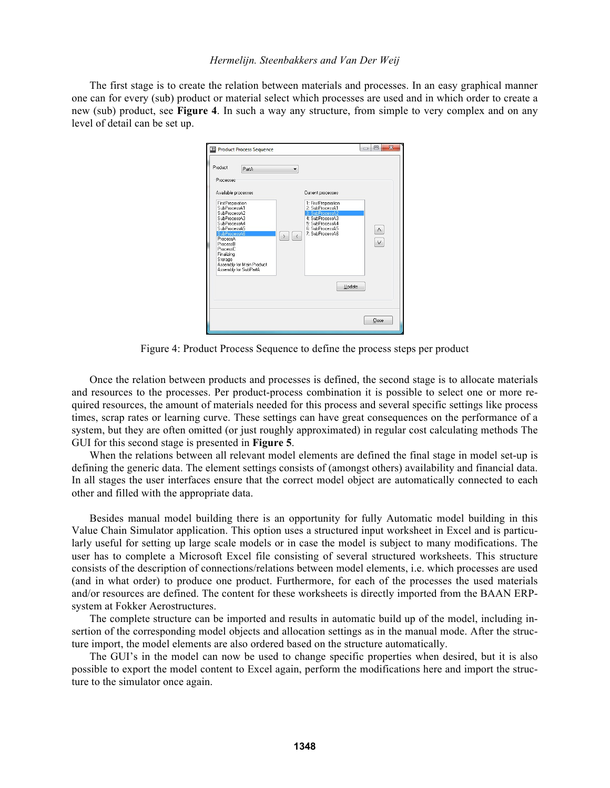#### *Hermelijn. Steenbakkers and Van Der Weij*

 The first stage is to create the relation between materials and processes. In an easy graphical manner one can for every (sub) product or material select which processes are used and in which order to create a new (sub) product, see **Figure 4**. In such a way any structure, from simple to very complex and on any level of detail can be set up.



Figure 4: Product Process Sequence to define the process steps per product

 Once the relation between products and processes is defined, the second stage is to allocate materials and resources to the processes. Per product-process combination it is possible to select one or more required resources, the amount of materials needed for this process and several specific settings like process times, scrap rates or learning curve. These settings can have great consequences on the performance of a system, but they are often omitted (or just roughly approximated) in regular cost calculating methods The GUI for this second stage is presented in **Figure 5**.

 When the relations between all relevant model elements are defined the final stage in model set-up is defining the generic data. The element settings consists of (amongst others) availability and financial data. In all stages the user interfaces ensure that the correct model object are automatically connected to each other and filled with the appropriate data.

 Besides manual model building there is an opportunity for fully Automatic model building in this Value Chain Simulator application. This option uses a structured input worksheet in Excel and is particularly useful for setting up large scale models or in case the model is subject to many modifications. The user has to complete a Microsoft Excel file consisting of several structured worksheets. This structure consists of the description of connections/relations between model elements, i.e. which processes are used (and in what order) to produce one product. Furthermore, for each of the processes the used materials and/or resources are defined. The content for these worksheets is directly imported from the BAAN ERPsystem at Fokker Aerostructures.

 The complete structure can be imported and results in automatic build up of the model, including insertion of the corresponding model objects and allocation settings as in the manual mode. After the structure import, the model elements are also ordered based on the structure automatically.

 The GUI's in the model can now be used to change specific properties when desired, but it is also possible to export the model content to Excel again, perform the modifications here and import the structure to the simulator once again.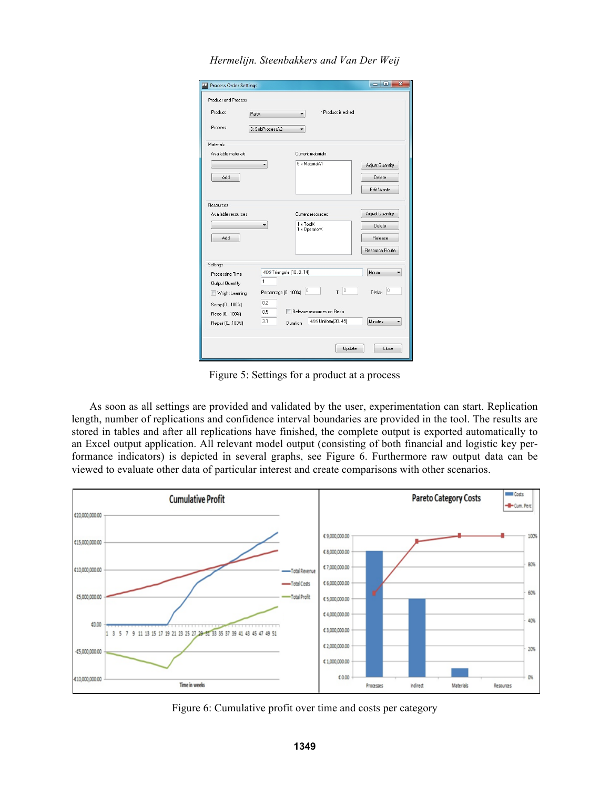|  | Hermelijn. Steenbakkers and Van Der Weij |  |  |
|--|------------------------------------------|--|--|
|--|------------------------------------------|--|--|

| <b>Product and Process</b> |                    |                                               |                           |                 |
|----------------------------|--------------------|-----------------------------------------------|---------------------------|-----------------|
| Product                    | PartA              | ▼                                             | * Product is edited       |                 |
| Process                    | 3: SubProcessA2    |                                               |                           |                 |
| Materials                  |                    |                                               |                           |                 |
| Available materials        |                    | Current materials                             |                           |                 |
|                            |                    | 5 x MaterialA1                                |                           | Adjust Quantity |
| Add                        |                    |                                               |                           | Delete          |
|                            |                    |                                               |                           |                 |
|                            |                    |                                               |                           | Edit Waste      |
| Resources                  |                    |                                               |                           |                 |
| Available resources        |                    | Current resources                             |                           | Adjust Quantity |
|                            |                    | $1 \times \text{Too} \times$<br>1 x OperatorX |                           | Delete          |
| Add                        |                    |                                               |                           | Release         |
|                            |                    |                                               |                           |                 |
|                            |                    |                                               |                           | Resource Route  |
| Settings                   |                    |                                               |                           |                 |
| Processing Time            |                    | 4DS Triangular(10, 8, 14)                     |                           |                 |
| <b>Output Quantity</b>     | 1                  |                                               |                           |                 |
| Wright Learning            | Percentage [0100%] | 0                                             | 0 <br>T                   | 0<br>T-Max      |
| Scrap (0100%)              | 0.2                |                                               |                           |                 |
| Redo (0100%)               | 0.5                |                                               | Release resources on Redo |                 |
| Repair (0100%)             | 3.1                | Duration                                      | 4DS Uniform(30, 45)       | Minutes         |

Figure 5: Settings for a product at a process

 As soon as all settings are provided and validated by the user, experimentation can start. Replication length, number of replications and confidence interval boundaries are provided in the tool. The results are stored in tables and after all replications have finished, the complete output is exported automatically to an Excel output application. All relevant model output (consisting of both financial and logistic key performance indicators) is depicted in several graphs, see Figure 6. Furthermore raw output data can be viewed to evaluate other data of particular interest and create comparisons with other scenarios.



Figure 6: Cumulative profit over time and costs per category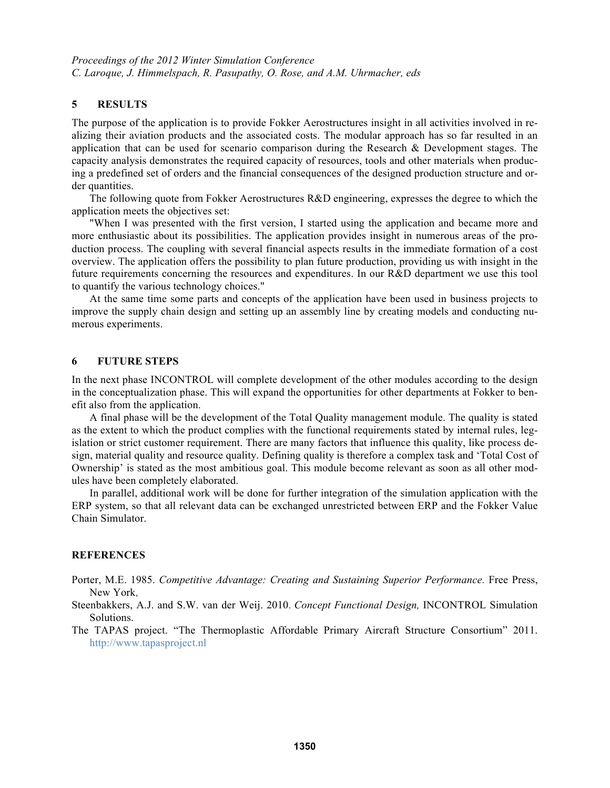### **5 RESULTS**

The purpose of the application is to provide Fokker Aerostructures insight in all activities involved in realizing their aviation products and the associated costs. The modular approach has so far resulted in an application that can be used for scenario comparison during the Research & Development stages. The capacity analysis demonstrates the required capacity of resources, tools and other materials when producing a predefined set of orders and the financial consequences of the designed production structure and order quantities.

 The following quote from Fokker Aerostructures R&D engineering, expresses the degree to which the application meets the objectives set:

 "When I was presented with the first version, I started using the application and became more and more enthusiastic about its possibilities. The application provides insight in numerous areas of the production process. The coupling with several financial aspects results in the immediate formation of a cost overview. The application offers the possibility to plan future production, providing us with insight in the future requirements concerning the resources and expenditures. In our R&D department we use this tool to quantify the various technology choices."

At the same time some parts and concepts of the application have been used in business projects to improve the supply chain design and setting up an assembly line by creating models and conducting numerous experiments.

### **6 FUTURE STEPS**

In the next phase INCONTROL will complete development of the other modules according to the design in the conceptualization phase. This will expand the opportunities for other departments at Fokker to benefit also from the application.

 A final phase will be the development of the Total Quality management module. The quality is stated as the extent to which the product complies with the functional requirements stated by internal rules, legislation or strict customer requirement. There are many factors that influence this quality, like process design, material quality and resource quality. Defining quality is therefore a complex task and 'Total Cost of Ownership' is stated as the most ambitious goal. This module become relevant as soon as all other modules have been completely elaborated.

 In parallel, additional work will be done for further integration of the simulation application with the ERP system, so that all relevant data can be exchanged unrestricted between ERP and the Fokker Value Chain Simulator.

#### **REFERENCES**

- Porter, M.E. 1985. *Competitive Advantage: Creating and Sustaining Superior Performance.* Free Press, New York,
- Steenbakkers, A.J. and S.W. van der Weij. 2010. *Concept Functional Design,* INCONTROL Simulation Solutions.
- The TAPAS project. "The Thermoplastic Affordable Primary Aircraft Structure Consortium" 2011. http://www.tapasproject.nl